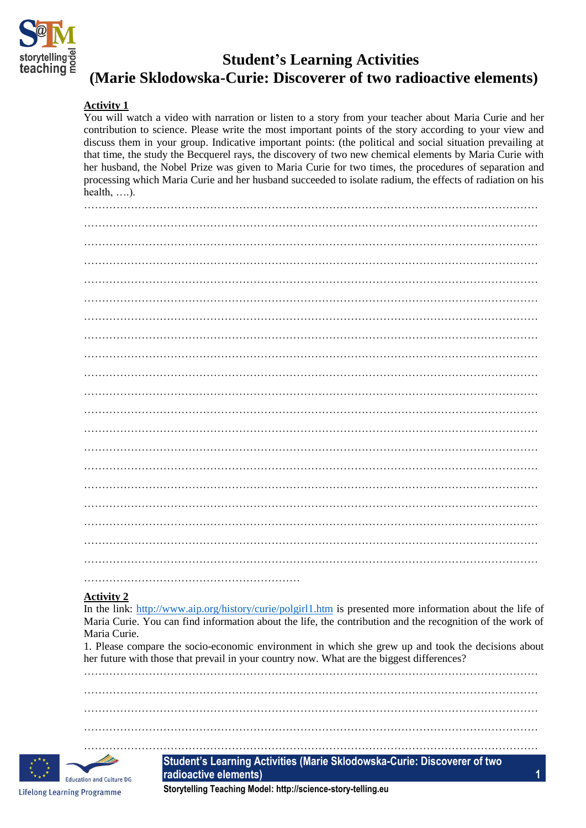

# **Student's Learning Activities (Marie Sklodowska-Curie: Discoverer of two radioactive elements)**

## **Activity 1**

You will watch a video with narration or listen to a story from your teacher about Maria Curie and her contribution to science. Please write the most important points of the story according to your view and discuss them in your group. Indicative important points: (the political and social situation prevailing at that time, the study the Becquerel rays, the discovery of two new chemical elements by Maria Curie with her husband, the Nobel Prize was given to Maria Curie for two times, the procedures of separation and processing which Maria Curie and her husband succeeded to isolate radium, the effects of radiation on his health, ….).

### **Activity 2**

In the link:<http://www.aip.org/history/curie/polgirl1.htm> is presented more information about the life of Maria Curie. You can find information about the life, the contribution and the recognition of the work of Maria Curie.

1. Please compare the socio-economic environment in which she grew up and took the decisions about her future with those that prevail in your country now. What are the biggest differences?

……………………………………………………………………………………………………………… ………………………………………………………………………………………………………………

………………………………………………………………………………………………………………

………………………………………………………………………………………………………………



**Student's Learning Activities (Marie Sklodowska-Curie: Discoverer of two radioactive elements) 1**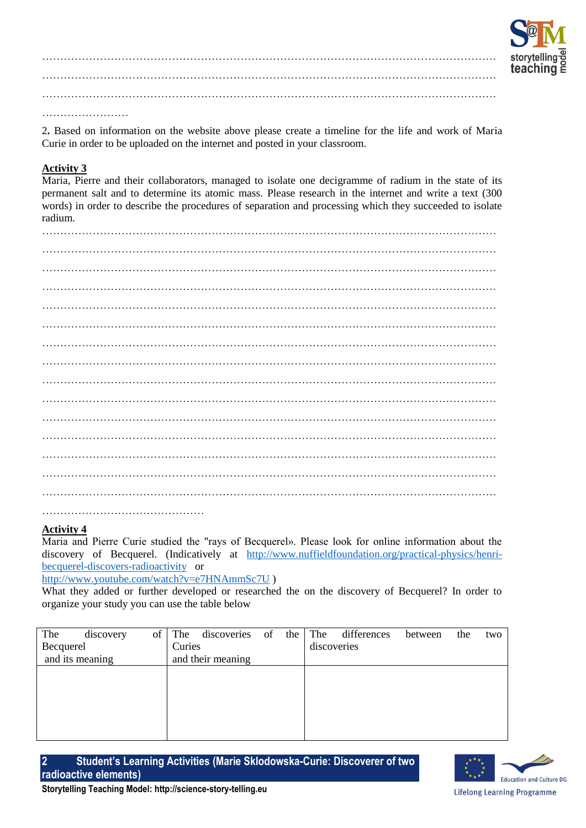

……………………………………………………………………………………………………………… ……………………………………………………………………………………………………………… ……………………………………………………………………………………………………………… ……………………

2**.** Based on information on the website above please create a timeline for the life and work of Maria Curie in order to be uploaded on the internet and posted in your classroom.

# **Activity 3**

Maria, Pierre and their collaborators, managed to isolate one decigramme of radium in the state of its permanent salt and to determine its atomic mass. Please research in the internet and write a text (300 words) in order to describe the procedures of separation and processing which they succeeded to isolate radium.

……………………………………………………………………………………………………………… ……………………………………………………………………………………………………………… ……………………………………………………………………………………………………………… ……………………………………………………………………………………………………………… ……………………………………………………………………………………………………………… ……………………………………………………………………………………………………………… ……………………………………………………………………………………………………………… ……………………………………………………………………………………………………………… ……………………………………………………………………………………………………………… ……………………………………………………………………………………………………………… ………………………………………

#### **Activity 4**

Maria and Pierre Curie studied the "rays of Becquerel». Please look for online information about the discovery of Becquerel. (Indicatively at [http://www.nuffieldfoundation.org/practical-physics/henri](http://www.nuffieldfoundation.org/practical-physics/henri-becquerel-discovers-radioactivity)[becquerel-discovers-radioactivity](http://www.nuffieldfoundation.org/practical-physics/henri-becquerel-discovers-radioactivity) or

<http://www.youtube.com/watch?v=e7HNAmmSc7U> )

What they added or further developed or researched the on the discovery of Becquerel? In order to organize your study you can use the table below

| The             | discovery | of     | The               | discoveries | of | the         | The | differences | between | the | two |
|-----------------|-----------|--------|-------------------|-------------|----|-------------|-----|-------------|---------|-----|-----|
| Becquerel       |           | Curies |                   |             |    | discoveries |     |             |         |     |     |
| and its meaning |           |        | and their meaning |             |    |             |     |             |         |     |     |
|                 |           |        |                   |             |    |             |     |             |         |     |     |
|                 |           |        |                   |             |    |             |     |             |         |     |     |
|                 |           |        |                   |             |    |             |     |             |         |     |     |
|                 |           |        |                   |             |    |             |     |             |         |     |     |
|                 |           |        |                   |             |    |             |     |             |         |     |     |
|                 |           |        |                   |             |    |             |     |             |         |     |     |

**2 Student's Learning Activities (Marie Sklodowska-Curie: Discoverer of two radioactive elements)**

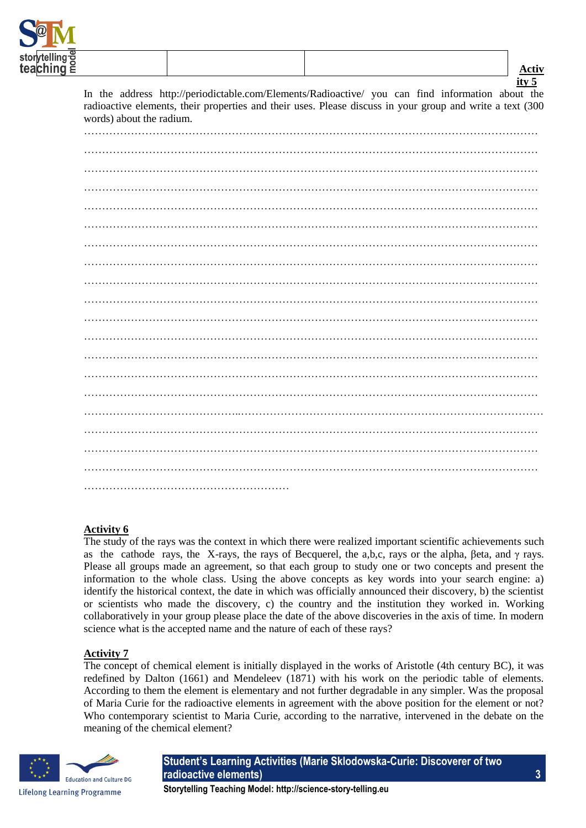

| ity $5$                                                                                                                                                                                                                                   |
|-------------------------------------------------------------------------------------------------------------------------------------------------------------------------------------------------------------------------------------------|
| In the address http://periodictable.com/Elements/Radioactive/ you can find information about the<br>radioactive elements, their properties and their uses. Please discuss in your group and write a text (300<br>words) about the radium. |
|                                                                                                                                                                                                                                           |
|                                                                                                                                                                                                                                           |
|                                                                                                                                                                                                                                           |
|                                                                                                                                                                                                                                           |
|                                                                                                                                                                                                                                           |
|                                                                                                                                                                                                                                           |
|                                                                                                                                                                                                                                           |
|                                                                                                                                                                                                                                           |
|                                                                                                                                                                                                                                           |
|                                                                                                                                                                                                                                           |
|                                                                                                                                                                                                                                           |
|                                                                                                                                                                                                                                           |
|                                                                                                                                                                                                                                           |
|                                                                                                                                                                                                                                           |
|                                                                                                                                                                                                                                           |
|                                                                                                                                                                                                                                           |
|                                                                                                                                                                                                                                           |
|                                                                                                                                                                                                                                           |
|                                                                                                                                                                                                                                           |
|                                                                                                                                                                                                                                           |

### **Activity 6**

The study of the rays was the context in which there were realized important scientific achievements such as the cathode rays, the X-rays, the rays of Becquerel, the a,b,c, rays or the alpha, βeta, and  $\gamma$  rays. Please all groups made an agreement, so that each group to study one or two concepts and present the information to the whole class. Using the above concepts as key words into your search engine: a) identify the historical context, the date in which was officially announced their discovery, b) the scientist or scientists who made the discovery, c) the country and the institution they worked in. Working collaboratively in your group please place the date of the above discoveries in the axis of time. In modern science what is the accepted name and the nature of each of these rays?

#### **Activity 7**

The concept of chemical element is initially displayed in the works of Aristotle (4th century BC), it was redefined by Dalton (1661) and Mendeleev (1871) with his work on the periodic table of elements. According to them the element is elementary and not further degradable in any simpler. Was the proposal of Maria Curie for the radioactive elements in agreement with the above position for the element or not? Who contemporary scientist to Maria Curie, according to the narrative, intervened in the debate on the meaning of the chemical element?



**Student's Learning Activities (Marie Sklodowska-Curie: Discoverer of two radioactive elements) 3**

**Storytelling Teaching Model: http://science-story-telling.eu**

**Activ**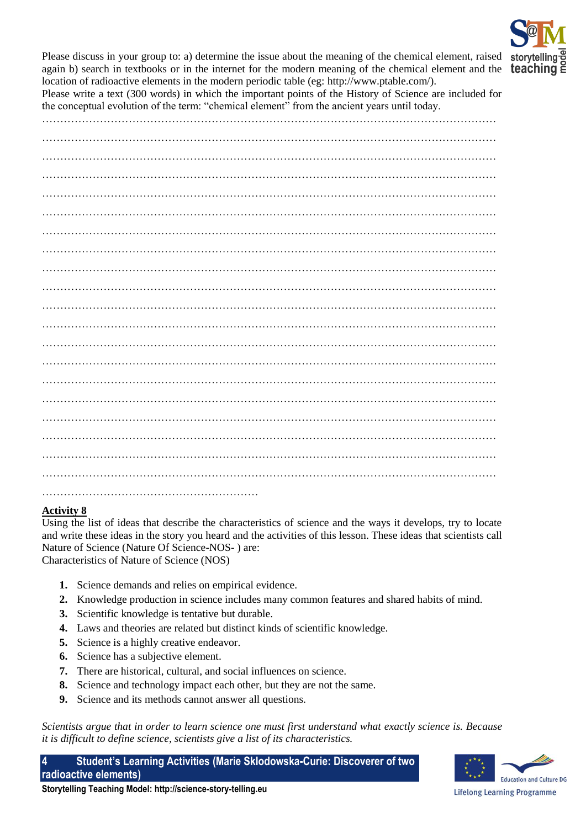

Please discuss in your group to: a) determine the issue about the meaning of the chemical element, raised sto again b) search in textbooks or in the internet for the modern meaning of the chemical element and the **teachir** location of radioactive elements in the modern periodic table (eg: http://www.ptable.com/).

Please write a text (300 words) in which the important points of the History of Science are included for the conceptual evolution of the term: "chemical element" from the ancient years until today.

………………………………………………………………………………………………………………

……………………………………………………………………………………………………………… ……………………………………………………………………………………………………………… ……………………………………………………………………………………………………………… ……………………………………………………………………………………………………………… ……………………………………………………………………………………………………………… ……………………………………………………………………………………………………………… ……………………………………………………………………………………………………………… ……………………………………………………………………………………………………………… ……………………………………………………………………………………………………………… ……………………………………………………………………………………………………………… ……………………………………………………………………………………………………………… ……………………………………………………………………………………………………………… ……………………………………………………………………………………………………………… ……………………………………………………………………………………………………………… ……………………………………………………………………………………………………………… ……………………………………………………………………………………………………………… ……………………………………………………………………………………………………………… ……………………………………………………

### **Activity 8**

Using the list of ideas that describe the characteristics of science and the ways it develops, try to locate and write these ideas in the story you heard and the activities of this lesson. These ideas that scientists call Nature of Science (Nature Of Science-NOS- ) are:

Characteristics of Nature of Science (NOS)

- **1.** Science demands and relies on empirical evidence.
- **2.** Knowledge production in science includes many common features and shared habits of mind.
- **3.** Scientific knowledge is tentative but durable.
- **4.** Laws and theories are related but distinct kinds of scientific knowledge.
- **5.** Science is a highly creative endeavor.
- **6.** Science has a subjective element.
- **7.** There are historical, cultural, and social influences on science.
- **8.** Science and technology impact each other, but they are not the same.
- **9.** Science and its methods cannot answer all questions.

*Scientists argue that in order to learn science one must first understand what exactly science is. Because it is difficult to define science, scientists give a list of its characteristics.* 

**4 Student's Learning Activities (Marie Sklodowska-Curie: Discoverer of two radioactive elements)**